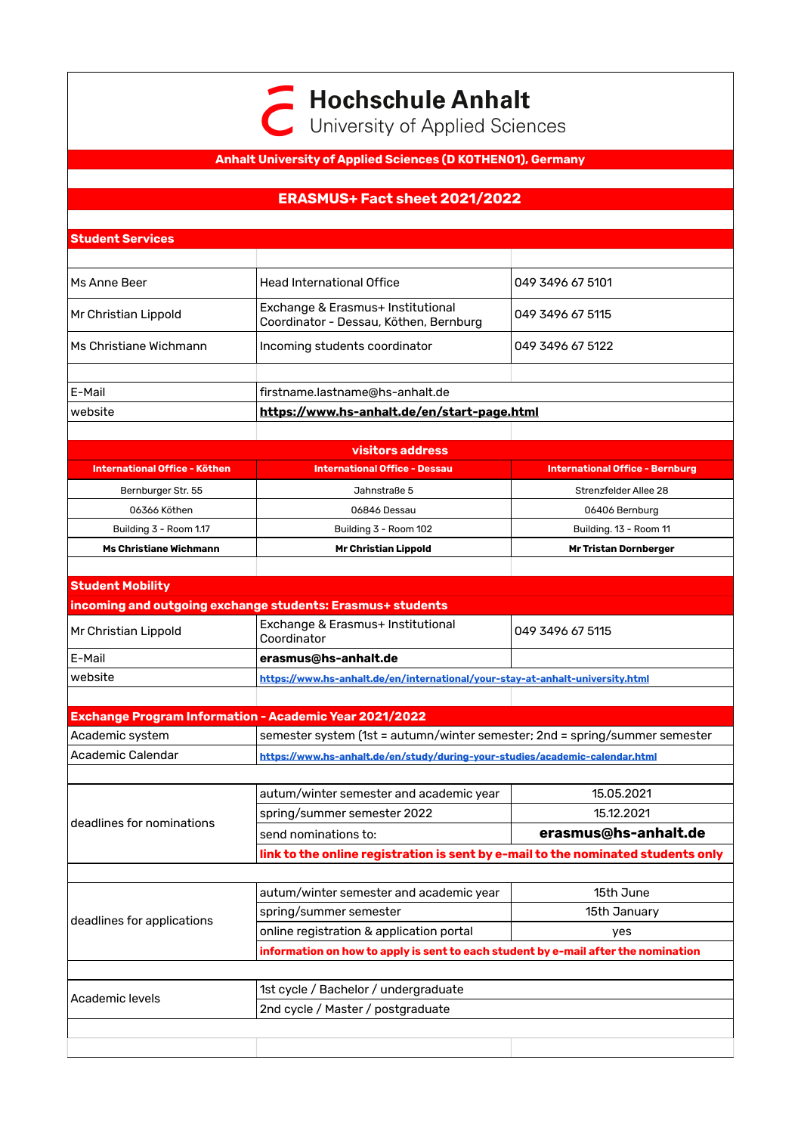**Hochschule Anhalt** 

C University of Applied Sciences

## **Anhalt University of Applied Sciences (D KOTHEN01), Germany**

## **ERASMUS+ Fact sheet 2021/2022**

| <b>Student Services</b>       |                                                                               |                                        |  |  |  |
|-------------------------------|-------------------------------------------------------------------------------|----------------------------------------|--|--|--|
|                               |                                                                               |                                        |  |  |  |
| Ms Anne Beer                  | <b>Head International Office</b>                                              | 049 3496 67 5101                       |  |  |  |
| Mr Christian Lippold          | Exchange & Erasmus+ Institutional<br>Coordinator - Dessau, Köthen, Bernburg   | 049 3496 67 5115                       |  |  |  |
| Ms Christiane Wichmann        | Incoming students coordinator                                                 | 049 3496 67 5122                       |  |  |  |
|                               |                                                                               |                                        |  |  |  |
| E-Mail                        | firstname.lastname@hs-anhalt.de                                               |                                        |  |  |  |
| website                       | https://www.hs-anhalt.de/en/start-page.html                                   |                                        |  |  |  |
|                               |                                                                               |                                        |  |  |  |
|                               | visitors address                                                              |                                        |  |  |  |
| International Office - Köthen | <b>International Office - Dessau</b>                                          | <b>International Office - Bernburg</b> |  |  |  |
| Bernburger Str. 55            | Jahnstraße 5                                                                  | Strenzfelder Allee 28                  |  |  |  |
| 06366 Köthen                  | 06846 Dessau                                                                  | 06406 Bernburg                         |  |  |  |
| Building 3 - Room 1.17        | Building 3 - Room 102                                                         | Building. 13 - Room 11                 |  |  |  |
| <b>Ms Christiane Wichmann</b> | <b>Mr Christian Lippold</b>                                                   | <b>Mr Tristan Dornberger</b>           |  |  |  |
| <b>Student Mobility</b>       |                                                                               |                                        |  |  |  |
|                               | incoming and outgoing exchange students: Erasmus+ students                    |                                        |  |  |  |
| Mr Christian Lippold          | Exchange & Erasmus+ Institutional<br>049 3496 67 5115<br>Coordinator          |                                        |  |  |  |
| F-Mail                        | erasmus@hs-anhalt.de                                                          |                                        |  |  |  |
| website                       | https://www.hs-anhalt.de/en/international/your-stay-at-anhalt-university.html |                                        |  |  |  |
|                               |                                                                               |                                        |  |  |  |
|                               | Exchange Program Information - Academic Year 2021/2022                        |                                        |  |  |  |
| Academic system               | semester system (1st = autumn/winter semester; 2nd = spring/summer semester   |                                        |  |  |  |
| <b>Academic Calendar</b>      | https://www.hs-anhalt.de/en/study/during-your-studies/academic-calendar.html  |                                        |  |  |  |
|                               |                                                                               |                                        |  |  |  |
|                               | autum/winter semester and academic year                                       | 15.05.2021                             |  |  |  |

deadlines for nominations spring/summer semester 2022 | 15.12.2021 send nominations to: **erasmus@hs-anhalt.de link to the online registration is sent by e-mail to the nominated students only** deadlines for applications autum/winter semester and academic year | 15th June spring/summer semester 15th January online registration & application portal yes **information on how to apply is sent to each student by e-mail after the nomination**

| Academic levels | 1st cycle / Bachelor / undergraduate |  |  |
|-----------------|--------------------------------------|--|--|
|                 | 2nd cycle / Master / postgraduate    |  |  |
|                 |                                      |  |  |
|                 |                                      |  |  |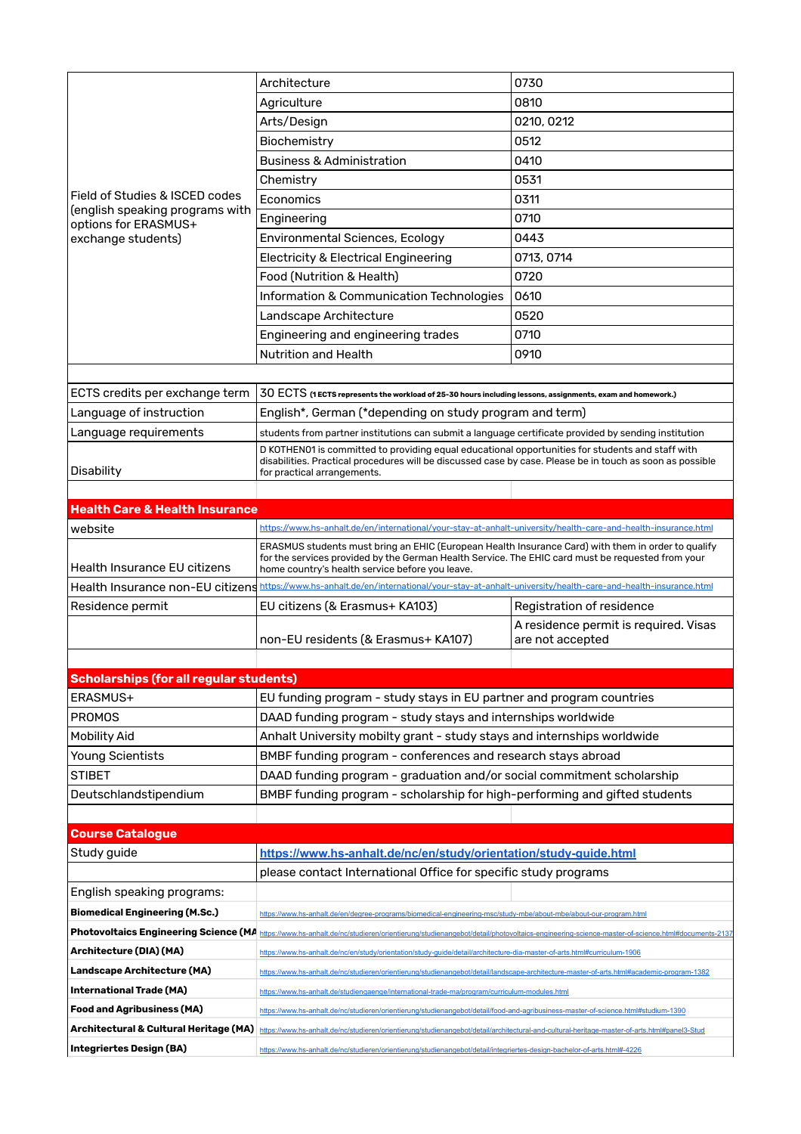|                                                                                                                 | Architecture                                                                                                                                                                                                                                                             | 0730                                  |  |  |
|-----------------------------------------------------------------------------------------------------------------|--------------------------------------------------------------------------------------------------------------------------------------------------------------------------------------------------------------------------------------------------------------------------|---------------------------------------|--|--|
|                                                                                                                 | Agriculture                                                                                                                                                                                                                                                              | 0810                                  |  |  |
|                                                                                                                 | Arts/Design                                                                                                                                                                                                                                                              | 0210, 0212                            |  |  |
|                                                                                                                 | Biochemistry                                                                                                                                                                                                                                                             | 0512                                  |  |  |
|                                                                                                                 | <b>Business &amp; Administration</b>                                                                                                                                                                                                                                     | 0410                                  |  |  |
|                                                                                                                 | Chemistry                                                                                                                                                                                                                                                                | 0531                                  |  |  |
| Field of Studies & ISCED codes<br>(english speaking programs with<br>options for ERASMUS+<br>exchange students) | Economics                                                                                                                                                                                                                                                                | 0311                                  |  |  |
|                                                                                                                 | Engineering                                                                                                                                                                                                                                                              | 0710                                  |  |  |
|                                                                                                                 | <b>Environmental Sciences, Ecology</b>                                                                                                                                                                                                                                   | 0443                                  |  |  |
|                                                                                                                 | <b>Electricity &amp; Electrical Engineering</b>                                                                                                                                                                                                                          | 0713, 0714                            |  |  |
|                                                                                                                 | Food (Nutrition & Health)                                                                                                                                                                                                                                                | 0720                                  |  |  |
|                                                                                                                 | Information & Communication Technologies                                                                                                                                                                                                                                 | 0610                                  |  |  |
|                                                                                                                 | Landscape Architecture                                                                                                                                                                                                                                                   | 0520                                  |  |  |
|                                                                                                                 | Engineering and engineering trades                                                                                                                                                                                                                                       | 0710                                  |  |  |
|                                                                                                                 | <b>Nutrition and Health</b>                                                                                                                                                                                                                                              | 0910                                  |  |  |
|                                                                                                                 |                                                                                                                                                                                                                                                                          |                                       |  |  |
| ECTS credits per exchange term                                                                                  | $30$ $\mathrm{ECTS}$ (1 ECTS represents the workload of 25-30 hours including lessons, assignments, exam and homework.)                                                                                                                                                  |                                       |  |  |
| Language of instruction                                                                                         | English*, German (*depending on study program and term)                                                                                                                                                                                                                  |                                       |  |  |
| Language requirements                                                                                           | students from partner institutions can submit a language certificate provided by sending institution                                                                                                                                                                     |                                       |  |  |
|                                                                                                                 | D KOTHENO1 is committed to providing equal educational opportunities for students and staff with                                                                                                                                                                         |                                       |  |  |
| Disability                                                                                                      | disabilities. Practical procedures will be discussed case by case. Please be in touch as soon as possible<br>for practical arrangements.                                                                                                                                 |                                       |  |  |
|                                                                                                                 |                                                                                                                                                                                                                                                                          |                                       |  |  |
| <b>Health Care &amp; Health Insurance</b>                                                                       |                                                                                                                                                                                                                                                                          |                                       |  |  |
| website                                                                                                         | https://www.hs-anhalt.de/en/international/your-stay-at-anhalt-university/health-care-and-health-insurance.html                                                                                                                                                           |                                       |  |  |
|                                                                                                                 | ERASMUS students must bring an EHIC (European Health Insurance Card) with them in order to qualify                                                                                                                                                                       |                                       |  |  |
| <b>Health Insurance EU citizens</b>                                                                             | for the services provided by the German Health Service. The EHIC card must be requested from your<br>home country's health service before you leave.                                                                                                                     |                                       |  |  |
| Health Insurance non-EU citizens                                                                                | https://www.hs-anhalt.de/en/international/your-stay-at-anhalt-university/health-care-and-health-insurance.html                                                                                                                                                           |                                       |  |  |
| Residence permit                                                                                                | EU citizens (& Erasmus+ KA103)                                                                                                                                                                                                                                           | Registration of residence             |  |  |
|                                                                                                                 |                                                                                                                                                                                                                                                                          | A residence permit is required. Visas |  |  |
|                                                                                                                 | non-EU residents (& Erasmus+ KA107)                                                                                                                                                                                                                                      | are not accepted                      |  |  |
|                                                                                                                 |                                                                                                                                                                                                                                                                          |                                       |  |  |
| <b>Scholarships (for all regular students)</b>                                                                  |                                                                                                                                                                                                                                                                          |                                       |  |  |
| ERASMUS+                                                                                                        | EU funding program - study stays in EU partner and program countries                                                                                                                                                                                                     |                                       |  |  |
| <b>PROMOS</b>                                                                                                   | DAAD funding program - study stays and internships worldwide                                                                                                                                                                                                             |                                       |  |  |
| <b>Mobility Aid</b>                                                                                             | Anhalt University mobilty grant - study stays and internships worldwide                                                                                                                                                                                                  |                                       |  |  |
| Young Scientists                                                                                                | BMBF funding program - conferences and research stays abroad                                                                                                                                                                                                             |                                       |  |  |
| <b>STIBET</b>                                                                                                   | DAAD funding program - graduation and/or social commitment scholarship                                                                                                                                                                                                   |                                       |  |  |
| Deutschlandstipendium                                                                                           | BMBF funding program - scholarship for high-performing and gifted students                                                                                                                                                                                               |                                       |  |  |
|                                                                                                                 |                                                                                                                                                                                                                                                                          |                                       |  |  |
| <b>Course Catalogue</b>                                                                                         |                                                                                                                                                                                                                                                                          |                                       |  |  |
| Study guide                                                                                                     | https://www.hs-anhalt.de/nc/en/study/orientation/study-guide.html                                                                                                                                                                                                        |                                       |  |  |
|                                                                                                                 | please contact International Office for specific study programs                                                                                                                                                                                                          |                                       |  |  |
| English speaking programs:                                                                                      |                                                                                                                                                                                                                                                                          |                                       |  |  |
| <b>Biomedical Engineering (M.Sc.)</b>                                                                           | https://www.hs-anhalt.de/en/degree-programs/biomedical-engineering-msc/study-mbe/about-mbe/about-our-program.html                                                                                                                                                        |                                       |  |  |
| <b>Photovoltaics Engineering Science (MA</b>                                                                    | https://www.hs-anhalt.de/nc/studieren/orientierung/studienangebot/detail/photovoltaics-engineering-science-master-of-science.html#documents-21                                                                                                                           |                                       |  |  |
| Architecture (DIA) (MA)                                                                                         |                                                                                                                                                                                                                                                                          |                                       |  |  |
| Landscape Architecture (MA)                                                                                     | https://www.hs-anhalt.de/nc/en/study/orientation/study-guide/detail/architecture-dia-master-of-arts.html#curriculum-1906                                                                                                                                                 |                                       |  |  |
| International Trade (MA)                                                                                        | https://www.hs-anhalt.de/nc/studieren/orientierung/studienangebot/detail/landscape-architecture-master-of-arts.html#academic-program-1382                                                                                                                                |                                       |  |  |
| <b>Food and Agribusiness (MA)</b>                                                                               | https://www.hs-anhalt.de/studiengaenge/international-trade-ma/program/curriculum-modules.html                                                                                                                                                                            |                                       |  |  |
|                                                                                                                 | https://www.hs-anhalt.de/nc/studieren/orientierung/studienangebot/detail/food-and-agribusiness-master-of-science.html#studium-1390                                                                                                                                       |                                       |  |  |
| Architectural & Cultural Heritage (MA)                                                                          | https://www.hs-anhalt.de/nc/studieren/orientierung/studienangebot/detail/architectural-and-cultural-heritage-master-of-arts.html#panel3-Stud<br>https://www.hs-anhalt.de/nc/studieren/orientierung/studienangebot/detail/integriertes-design-bachelor-of-arts.html#-4226 |                                       |  |  |
| Integriertes Design (BA)                                                                                        |                                                                                                                                                                                                                                                                          |                                       |  |  |